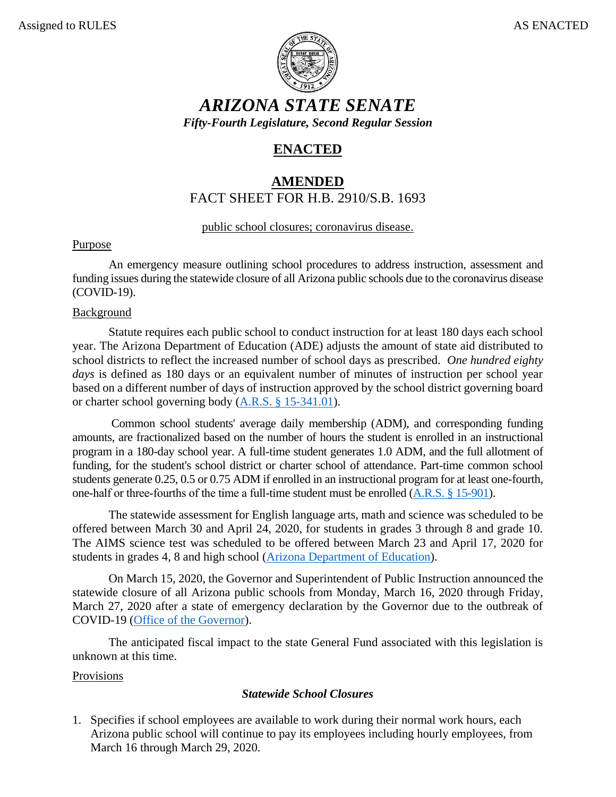

*ARIZONA STATE SENATE Fifty-Fourth Legislature, Second Regular Session*

# **ENACTED**

## **AMENDED** FACT SHEET FOR H.B. 2910/S.B. 1693

### public school closures; coronavirus disease.

### Purpose

An emergency measure outlining school procedures to address instruction, assessment and funding issues during the statewide closure of all Arizona public schools due to the coronavirus disease (COVID-19).

### Background

Statute requires each public school to conduct instruction for at least 180 days each school year. The Arizona Department of Education (ADE) adjusts the amount of state aid distributed to school districts to reflect the increased number of school days as prescribed. *One hundred eighty days* is defined as 180 days or an equivalent number of minutes of instruction per school year based on a different number of days of instruction approved by the school district governing board or charter school governing body [\(A.R.S. § 15-341.01\)](https://www.azleg.gov/viewdocument/?docName=https://www.azleg.gov/ars/15/00341-01.htm).

Common school students' average daily membership (ADM), and corresponding funding amounts, are fractionalized based on the number of hours the student is enrolled in an instructional program in a 180-day school year. A full-time student generates 1.0 ADM, and the full allotment of funding, for the student's school district or charter school of attendance. Part-time common school students generate 0.25, 0.5 or 0.75 ADM if enrolled in an instructional program for at least one-fourth, one-half or three-fourths of the time a full-time student must be enrolled [\(A.R.S. § 15-901\)](https://www.azleg.gov/viewdocument/?docName=https://www.azleg.gov/ars/15/00901.htm).

The statewide assessment for English language arts, math and science was scheduled to be offered between March 30 and April 24, 2020, for students in grades 3 through 8 and grade 10. The AIMS science test was scheduled to be offered between March 23 and April 17, 2020 for students in grades 4, 8 and high school [\(Arizona Department of Education\)](https://cms.azed.gov/home/GetDocumentFile?id=580e209baadebe0d3c1905fb).

On March 15, 2020, the Governor and Superintendent of Public Instruction announced the statewide closure of all Arizona public schools from Monday, March 16, 2020 through Friday, March 27, 2020 after a state of emergency declaration by the Governor due to the outbreak of COVID-19 [\(Office of the Governor\)](https://azgovernor.gov/governor/blog/2020/03/open-letter-arizona-families-educators-school-leaders-and-education-community).

The anticipated fiscal impact to the state General Fund associated with this legislation is unknown at this time.

### Provisions

### *Statewide School Closures*

1. Specifies if school employees are available to work during their normal work hours, each Arizona public school will continue to pay its employees including hourly employees, from March 16 through March 29, 2020.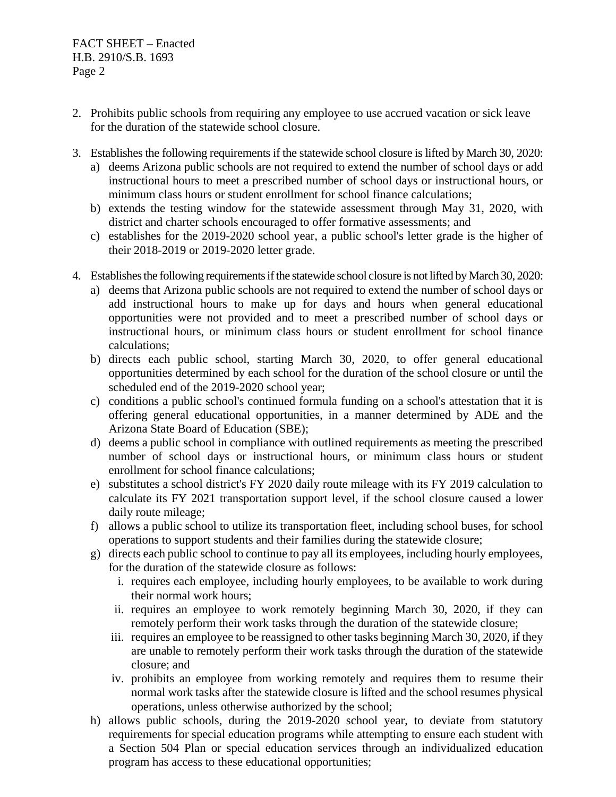FACT SHEET – Enacted H.B. 2910/S.B. 1693 Page 2

- 2. Prohibits public schools from requiring any employee to use accrued vacation or sick leave for the duration of the statewide school closure.
- 3. Establishes the following requirements if the statewide school closure is lifted by March 30, 2020:
	- a) deems Arizona public schools are not required to extend the number of school days or add instructional hours to meet a prescribed number of school days or instructional hours, or minimum class hours or student enrollment for school finance calculations;
	- b) extends the testing window for the statewide assessment through May 31, 2020, with district and charter schools encouraged to offer formative assessments; and
	- c) establishes for the 2019-2020 school year, a public school's letter grade is the higher of their 2018-2019 or 2019-2020 letter grade.
- 4. Establishes the following requirements if the statewide school closure is not lifted by March 30, 2020:
	- a) deems that Arizona public schools are not required to extend the number of school days or add instructional hours to make up for days and hours when general educational opportunities were not provided and to meet a prescribed number of school days or instructional hours, or minimum class hours or student enrollment for school finance calculations;
	- b) directs each public school, starting March 30, 2020, to offer general educational opportunities determined by each school for the duration of the school closure or until the scheduled end of the 2019-2020 school year;
	- c) conditions a public school's continued formula funding on a school's attestation that it is offering general educational opportunities, in a manner determined by ADE and the Arizona State Board of Education (SBE);
	- d) deems a public school in compliance with outlined requirements as meeting the prescribed number of school days or instructional hours, or minimum class hours or student enrollment for school finance calculations;
	- e) substitutes a school district's FY 2020 daily route mileage with its FY 2019 calculation to calculate its FY 2021 transportation support level, if the school closure caused a lower daily route mileage;
	- f) allows a public school to utilize its transportation fleet, including school buses, for school operations to support students and their families during the statewide closure;
	- g) directs each public school to continue to pay all its employees, including hourly employees, for the duration of the statewide closure as follows:
		- i. requires each employee, including hourly employees, to be available to work during their normal work hours;
		- ii. requires an employee to work remotely beginning March 30, 2020, if they can remotely perform their work tasks through the duration of the statewide closure;
		- iii. requires an employee to be reassigned to other tasks beginning March 30, 2020, if they are unable to remotely perform their work tasks through the duration of the statewide closure; and
		- iv. prohibits an employee from working remotely and requires them to resume their normal work tasks after the statewide closure is lifted and the school resumes physical operations, unless otherwise authorized by the school;
	- h) allows public schools, during the 2019-2020 school year, to deviate from statutory requirements for special education programs while attempting to ensure each student with a Section 504 Plan or special education services through an individualized education program has access to these educational opportunities;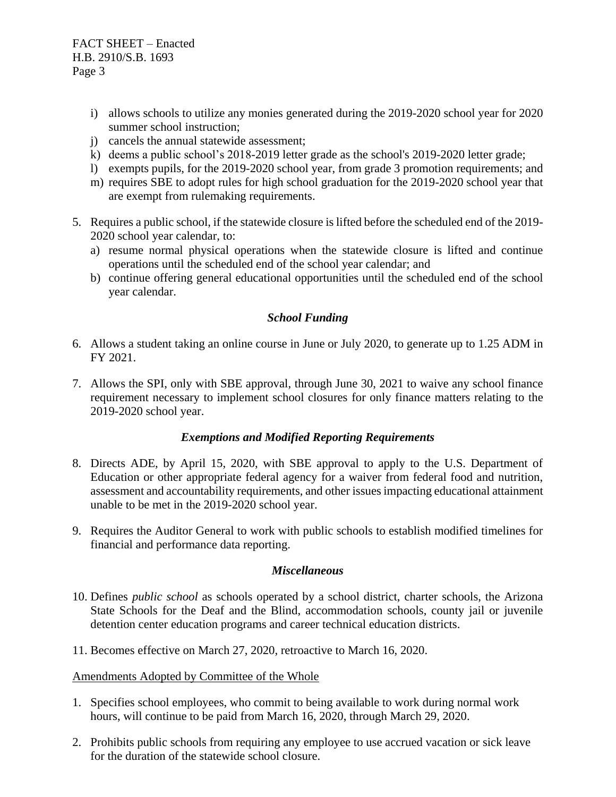FACT SHEET – Enacted H.B. 2910/S.B. 1693 Page 3

- i) allows schools to utilize any monies generated during the 2019-2020 school year for 2020 summer school instruction;
- j) cancels the annual statewide assessment;
- k) deems a public school's 2018-2019 letter grade as the school's 2019-2020 letter grade;
- l) exempts pupils, for the 2019-2020 school year, from grade 3 promotion requirements; and
- m) requires SBE to adopt rules for high school graduation for the 2019-2020 school year that are exempt from rulemaking requirements.
- 5. Requires a public school, if the statewide closure is lifted before the scheduled end of the 2019- 2020 school year calendar, to:
	- a) resume normal physical operations when the statewide closure is lifted and continue operations until the scheduled end of the school year calendar; and
	- b) continue offering general educational opportunities until the scheduled end of the school year calendar.

#### *School Funding*

- 6. Allows a student taking an online course in June or July 2020, to generate up to 1.25 ADM in FY 2021.
- 7. Allows the SPI, only with SBE approval, through June 30, 2021 to waive any school finance requirement necessary to implement school closures for only finance matters relating to the 2019-2020 school year.

#### *Exemptions and Modified Reporting Requirements*

- 8. Directs ADE, by April 15, 2020, with SBE approval to apply to the U.S. Department of Education or other appropriate federal agency for a waiver from federal food and nutrition, assessment and accountability requirements, and other issues impacting educational attainment unable to be met in the 2019-2020 school year.
- 9. Requires the Auditor General to work with public schools to establish modified timelines for financial and performance data reporting.

#### *Miscellaneous*

- 10. Defines *public school* as schools operated by a school district, charter schools, the Arizona State Schools for the Deaf and the Blind, accommodation schools, county jail or juvenile detention center education programs and career technical education districts.
- 11. Becomes effective on March 27, 2020, retroactive to March 16, 2020.

#### Amendments Adopted by Committee of the Whole

- 1. Specifies school employees, who commit to being available to work during normal work hours, will continue to be paid from March 16, 2020, through March 29, 2020.
- 2. Prohibits public schools from requiring any employee to use accrued vacation or sick leave for the duration of the statewide school closure.